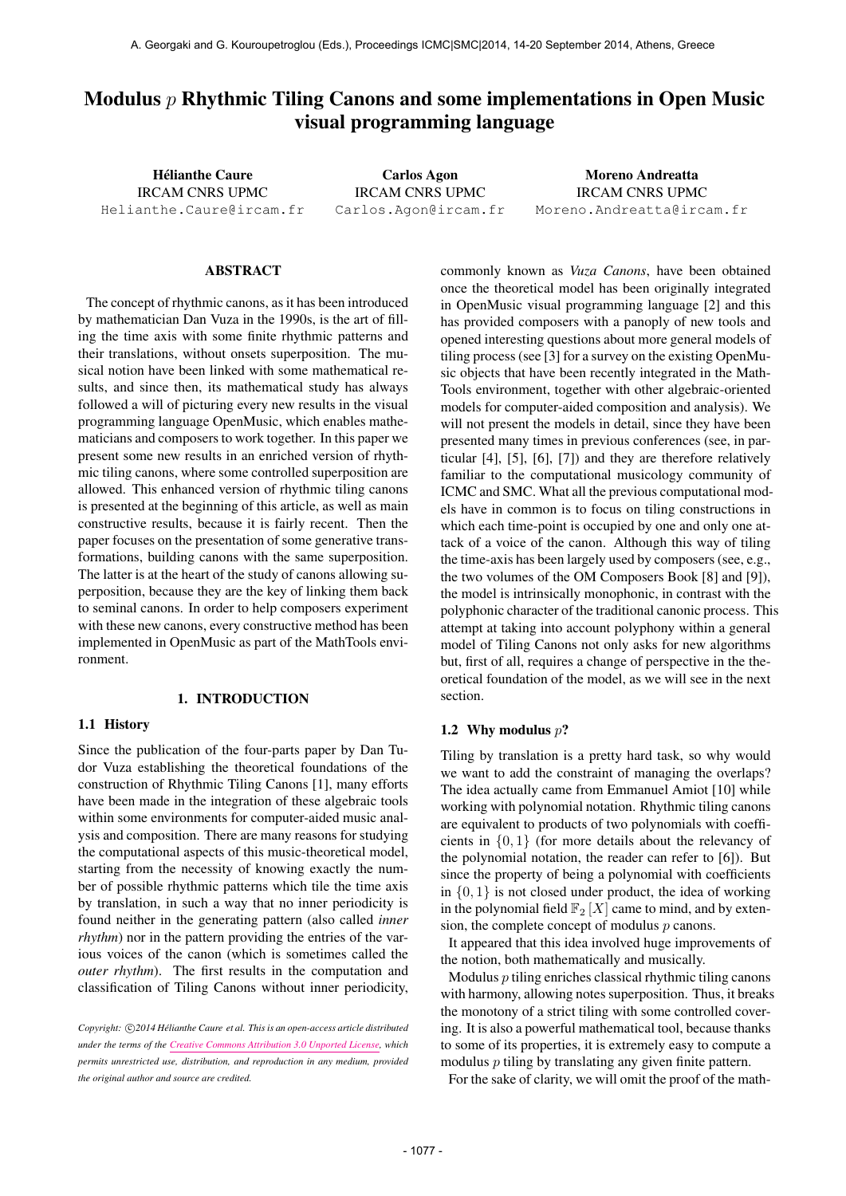# Modulus  $p$  Rhythmic Tiling Canons and some implementations in Open Music visual programming language

Hélianthe Caure IRCAM CNRS UPMC [Helianthe.Caure@ircam.fr](mailto:Helianthe.Caure@ircam.fr)

Carlos Agon IRCAM CNRS UPMC [Carlos.Agon@ircam.fr](mailto:Carlos.Agon@ircam.fr)

Moreno Andreatta IRCAM CNRS UPMC [Moreno.Andreatta@ircam.fr](mailto:Moreno.Andreatta@ircam.fr)

## ABSTRACT

The concept of rhythmic canons, as it has been introduced by mathematician Dan Vuza in the 1990s, is the art of filling the time axis with some finite rhythmic patterns and their translations, without onsets superposition. The musical notion have been linked with some mathematical results, and since then, its mathematical study has always followed a will of picturing every new results in the visual programming language OpenMusic, which enables mathematicians and composers to work together. In this paper we present some new results in an enriched version of rhythmic tiling canons, where some controlled superposition are allowed. This enhanced version of rhythmic tiling canons is presented at the beginning of this article, as well as main constructive results, because it is fairly recent. Then the paper focuses on the presentation of some generative transformations, building canons with the same superposition. The latter is at the heart of the study of canons allowing superposition, because they are the key of linking them back to seminal canons. In order to help composers experiment with these new canons, every constructive method has been implemented in OpenMusic as part of the MathTools environment.

# 1. INTRODUCTION

## 1.1 History

Since the publication of the four-parts paper by Dan Tudor Vuza establishing the theoretical foundations of the construction of Rhythmic Tiling Canons [1], many efforts have been made in the integration of these algebraic tools within some environments for computer-aided music analysis and composition. There are many reasons for studying the computational aspects of this music-theoretical model, starting from the necessity of knowing exactly the number of possible rhythmic patterns which tile the time axis by translation, in such a way that no inner periodicity is found neither in the generating pattern (also called *inner rhythm*) nor in the pattern providing the entries of the various voices of the canon (which is sometimes called the *outer rhythm*). The first results in the computation and classification of Tiling Canons without inner periodicity,

Copyright:  $\bigcirc$ 2014 Hélianthe Caure et al. This is an open-access article distributed *under the terms of the [Creative Commons Attribution 3.0 Unported License,](http://creativecommons.org/licenses/by/3.0/) which permits unrestricted use, distribution, and reproduction in any medium, provided the original author and source are credited.*

commonly known as *Vuza Canons*, have been obtained once the theoretical model has been originally integrated in OpenMusic visual programming language [2] and this has provided composers with a panoply of new tools and opened interesting questions about more general models of tiling process (see [3] for a survey on the existing OpenMusic objects that have been recently integrated in the Math-Tools environment, together with other algebraic-oriented models for computer-aided composition and analysis). We will not present the models in detail, since they have been presented many times in previous conferences (see, in particular [4], [5], [6], [7]) and they are therefore relatively familiar to the computational musicology community of ICMC and SMC. What all the previous computational models have in common is to focus on tiling constructions in which each time-point is occupied by one and only one attack of a voice of the canon. Although this way of tiling the time-axis has been largely used by composers (see, e.g., the two volumes of the OM Composers Book [8] and [9]), the model is intrinsically monophonic, in contrast with the polyphonic character of the traditional canonic process. This attempt at taking into account polyphony within a general model of Tiling Canons not only asks for new algorithms but, first of all, requires a change of perspective in the theoretical foundation of the model, as we will see in the next section.

#### 1.2 Why modulus  $p$ ?

Tiling by translation is a pretty hard task, so why would we want to add the constraint of managing the overlaps? The idea actually came from Emmanuel Amiot [10] while working with polynomial notation. Rhythmic tiling canons are equivalent to products of two polynomials with coefficients in {0, 1} (for more details about the relevancy of the polynomial notation, the reader can refer to [6]). But since the property of being a polynomial with coefficients in  $\{0, 1\}$  is not closed under product, the idea of working in the polynomial field  $\mathbb{F}_2[X]$  came to mind, and by extension, the complete concept of modulus  $p$  canons.

It appeared that this idea involved huge improvements of the notion, both mathematically and musically.

Modulus p tiling enriches classical rhythmic tiling canons with harmony, allowing notes superposition. Thus, it breaks the monotony of a strict tiling with some controlled covering. It is also a powerful mathematical tool, because thanks to some of its properties, it is extremely easy to compute a modulus  $p$  tiling by translating any given finite pattern.

For the sake of clarity, we will omit the proof of the math-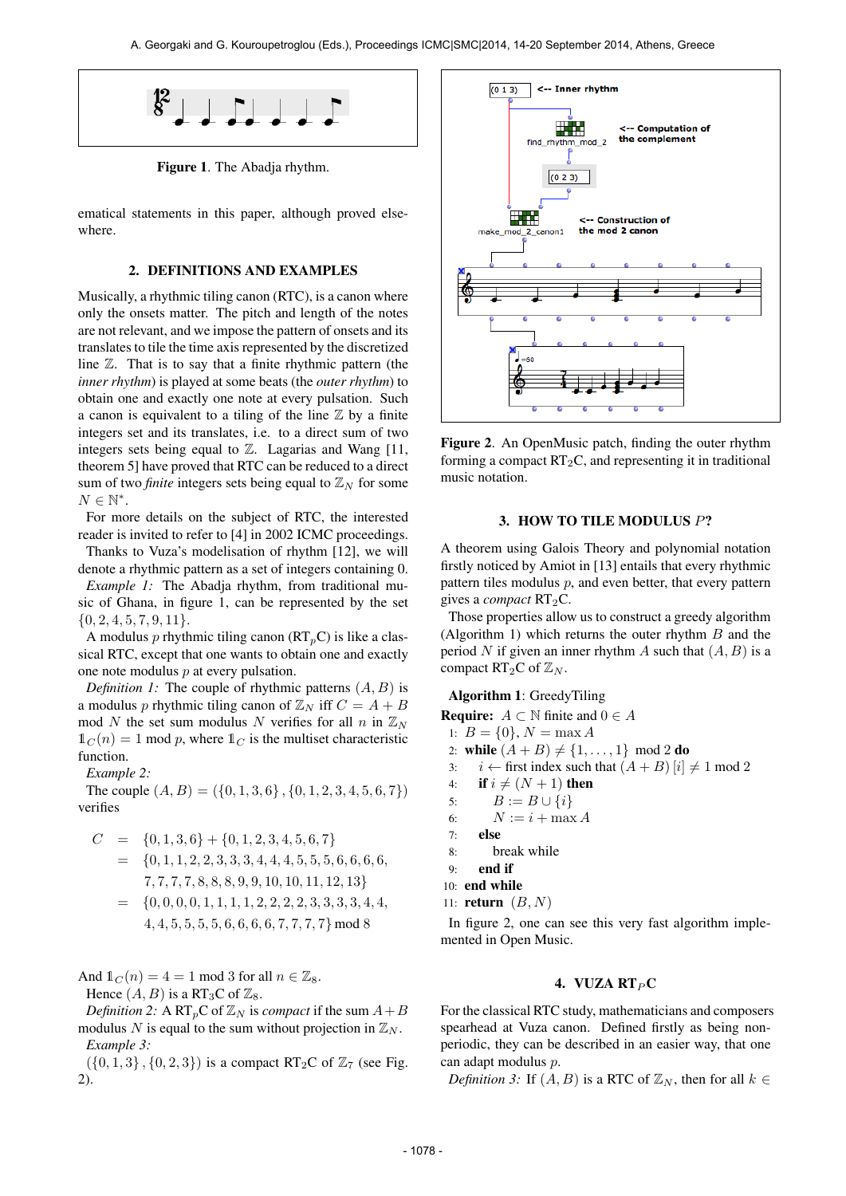

Figure 1. The Abadja rhythm.

ematical statements in this paper, although proved elsewhere.

# 2. DEFINITIONS AND EXAMPLES

Musically, a rhythmic tiling canon (RTC), is a canon where only the onsets matter. The pitch and length of the notes are not relevant, and we impose the pattern of onsets and its translates to tile the time axis represented by the discretized line  $\mathbb{Z}$ . That is to say that a finite rhythmic pattern (the *inner rhythm*) is played at some beats (the *outer rhythm*) to obtain one and exactly one note at every pulsation. Such a canon is equivalent to a tiling of the line  $\mathbb Z$  by a finite integers set and its translates, i.e. to a direct sum of two integers sets being equal to  $\mathbb{Z}$ . Lagarias and Wang [11, theorem 5] have proved that RTC can be reduced to a direct sum of two *finite* integers sets being equal to  $\mathbb{Z}_N$  for some  $N \in \mathbb{N}^*$ .

For more details on the subject of RTC, the interested reader is invited to refer to [4] in 2002 ICMC proceedings.

Thanks to Vuza's modelisation of rhythm [12], we will denote a rhythmic pattern as a set of integers containing 0. *Example 1:* The Abadja rhythm, from traditional mu-

sic of Ghana, in figure 1, can be represented by the set  $\{0, 2, 4, 5, 7, 9, 11\}.$ 

A modulus p rhythmic tiling canon  $(RT_pC)$  is like a classical RTC, except that one wants to obtain one and exactly one note modulus p at every pulsation.

*Definition 1:* The couple of rhythmic patterns  $(A, B)$  is a modulus p rhythmic tiling canon of  $\mathbb{Z}_N$  iff  $C = A + B$ mod N the set sum modulus N verifies for all n in  $\mathbb{Z}_N$  $\mathbb{1}_C(n) = 1$  mod p, where  $\mathbb{1}_C$  is the multiset characteristic function.

*Example 2:*

The couple  $(A, B) = (\{0, 1, 3, 6\}, \{0, 1, 2, 3, 4, 5, 6, 7\})$ verifies

$$
C = \{0, 1, 3, 6\} + \{0, 1, 2, 3, 4, 5, 6, 7\}
$$
  
=  $\{0, 1, 1, 2, 2, 3, 3, 3, 4, 4, 4, 5, 5, 5, 6, 6, 6, 6, 7, 7, 7, 7, 8, 8, 8, 9, 9, 10, 10, 11, 12, 13\}$   
=  $\{0, 0, 0, 0, 1, 1, 1, 1, 2, 2, 2, 2, 3, 3, 3, 3, 4, 4, 4, 4, 5, 5, 5, 6, 6, 6, 6, 7, 7, 7, 7\}$  mod 8

And  $\mathbb{1}_C (n) = 4 = 1$  mod 3 for all  $n \in \mathbb{Z}_8$ .

Hence  $(A, B)$  is a RT<sub>3</sub>C of  $\mathbb{Z}_8$ .

*Definition 2:* A RT<sub>p</sub>C of  $\mathbb{Z}_N$  is *compact* if the sum  $A + B$ modulus N is equal to the sum without projection in  $\mathbb{Z}_N$ . *Example 3:*

 $({0, 1, 3}, {0, 2, 3})$  is a compact RT<sub>2</sub>C of  $\mathbb{Z}_7$  (see Fig. 2).



Figure 2. An OpenMusic patch, finding the outer rhythm forming a compact  $RT_2C$ , and representing it in traditional music notation.

# 3. HOW TO TILE MODULUS P?

A theorem using Galois Theory and polynomial notation firstly noticed by Amiot in [13] entails that every rhythmic pattern tiles modulus  $p$ , and even better, that every pattern gives a *compact* RT<sub>2</sub>C.

Those properties allow us to construct a greedy algorithm (Algorithm 1) which returns the outer rhythm  $B$  and the period N if given an inner rhythm A such that  $(A, B)$  is a compact  $RT_2C$  of  $\mathbb{Z}_N$ .

Algorithm 1: GreedyTiling

**Require:**  $A \subset \mathbb{N}$  finite and  $0 \in A$ 

1:  $B = \{0\}, N = \max A$ 

- 2: while  $(A + B) \neq \{1, ..., 1\} \mod 2$  do
- 3: *i* ← first index such that  $(A + B)$  [*i*]  $\neq$  1 mod 2
- 4: if  $i \neq (N + 1)$  then
- 5:  $B := B \cup \{i\}$
- 6:  $N := i + \max A$
- 7: else
- 8: break while
- 9: end if
- 10: end while
- 11: **return**  $(B, N)$

In figure 2, one can see this very fast algorithm implemented in Open Music.

#### 4. VUZA  $R T<sub>P</sub> C$

For the classical RTC study, mathematicians and composers spearhead at Vuza canon. Defined firstly as being nonperiodic, they can be described in an easier way, that one can adapt modulus p.

*Definition 3:* If  $(A, B)$  is a RTC of  $\mathbb{Z}_N$ , then for all  $k \in$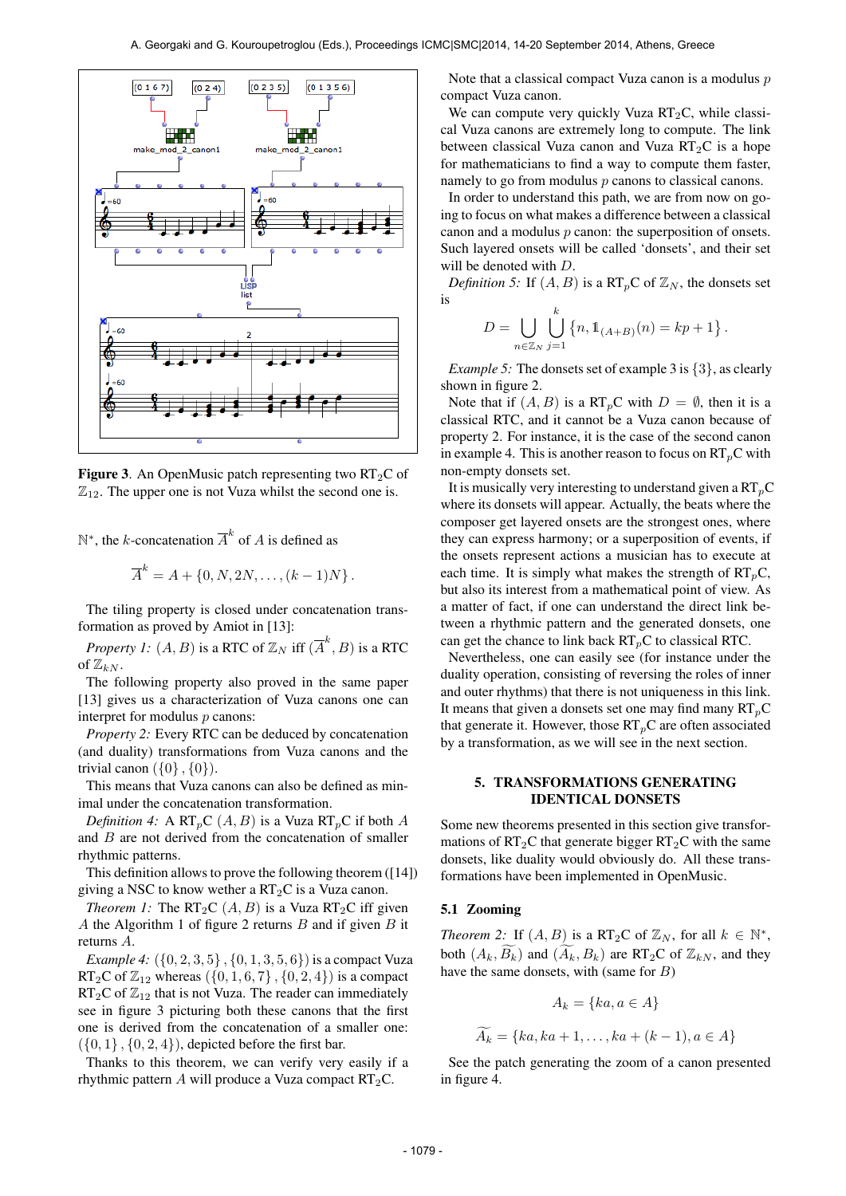

**Figure 3.** An OpenMusic patch representing two  $RT_2C$  of  $\mathbb{Z}_{12}$ . The upper one is not Vuza whilst the second one is.

 $\mathbb{N}^*$ , the *k*-concatenation  $\overline{A}^k$  of *A* is defined as

$$
\overline{A}^k = A + \{0, N, 2N, \dots, (k-1)N\}.
$$

The tiling property is closed under concatenation transformation as proved by Amiot in [13]:

*Property 1:*  $(A, B)$  is a RTC of  $\mathbb{Z}_N$  iff  $(\overline{A}^k, B)$  is a RTC of  $\mathbb{Z}_{k,N}$ .

The following property also proved in the same paper [13] gives us a characterization of Vuza canons one can interpret for modulus  $p$  canons:

*Property 2:* Every RTC can be deduced by concatenation (and duality) transformations from Vuza canons and the trivial canon  $({0}, {0})$ .

This means that Vuza canons can also be defined as minimal under the concatenation transformation.

*Definition 4:* A  $RT_pC(A, B)$  is a Vuza  $RT_pC$  if both A and B are not derived from the concatenation of smaller rhythmic patterns.

This definition allows to prove the following theorem ([14]) giving a NSC to know wether a  $RT_2C$  is a Vuza canon.

*Theorem 1:* The  $RT_2C(A, B)$  is a Vuza  $RT_2C$  iff given A the Algorithm 1 of figure 2 returns  $B$  and if given  $B$  it returns A.

*Example 4:*  $({0, 2, 3, 5}, {0, 1, 3, 5, 6})$  is a compact Vuza RT<sub>2</sub>C of  $\mathbb{Z}_{12}$  whereas  $({0, 1, 6, 7}, {0, 2, 4})$  is a compact  $RT_2C$  of  $\mathbb{Z}_{12}$  that is not Vuza. The reader can immediately see in figure 3 picturing both these canons that the first one is derived from the concatenation of a smaller one:  $({0, 1}, {0, 2, 4})$ , depicted before the first bar.

Thanks to this theorem, we can verify very easily if a rhythmic pattern A will produce a Vuza compact  $RT_2C$ .

Note that a classical compact Vuza canon is a modulus  $p$ compact Vuza canon.

We can compute very quickly Vuza  $RT_2C$ , while classical Vuza canons are extremely long to compute. The link between classical Vuza canon and Vuza  $RT_2C$  is a hope for mathematicians to find a way to compute them faster, namely to go from modulus  $p$  canons to classical canons.

In order to understand this path, we are from now on going to focus on what makes a difference between a classical canon and a modulus  $p$  canon: the superposition of onsets. Such layered onsets will be called 'donsets', and their set will be denoted with D.

*Definition 5:* If  $(A, B)$  is a RT<sub>p</sub>C of  $\mathbb{Z}_N$ , the donsets set is  $\mathbf{r}$ 

$$
D = \bigcup_{n \in \mathbb{Z}_N} \bigcup_{j=1}^{\infty} \{n, 1\!\!1_{(A+B)}(n) = kp + 1\}.
$$

*Example 5:* The donsets set of example 3 is  $\{3\}$ , as clearly shown in figure 2.

Note that if  $(A, B)$  is a RT<sub>p</sub>C with  $D = \emptyset$ , then it is a classical RTC, and it cannot be a Vuza canon because of property 2. For instance, it is the case of the second canon in example 4. This is another reason to focus on  $RT_pC$  with non-empty donsets set.

It is musically very interesting to understand given a  $RT_pC$ where its donsets will appear. Actually, the beats where the composer get layered onsets are the strongest ones, where they can express harmony; or a superposition of events, if the onsets represent actions a musician has to execute at each time. It is simply what makes the strength of  $RT_pC$ , but also its interest from a mathematical point of view. As a matter of fact, if one can understand the direct link between a rhythmic pattern and the generated donsets, one can get the chance to link back  $RT_pC$  to classical RTC.

Nevertheless, one can easily see (for instance under the duality operation, consisting of reversing the roles of inner and outer rhythms) that there is not uniqueness in this link. It means that given a donsets set one may find many  $RT_pC$ that generate it. However, those  $RT_pC$  are often associated by a transformation, as we will see in the next section.

## 5. TRANSFORMATIONS GENERATING IDENTICAL DONSETS

Some new theorems presented in this section give transformations of  $RT_2C$  that generate bigger  $RT_2C$  with the same donsets, like duality would obviously do. All these transformations have been implemented in OpenMusic.

# 5.1 Zooming

*Theorem 2:* If  $(A, B)$  is a RT<sub>2</sub>C of  $\mathbb{Z}_N$ , for all  $k \in \mathbb{N}^*$ , both  $(A_k, \widetilde{B_k})$  and  $(\widetilde{A_k}, B_k)$  are RT<sub>2</sub>C of  $\mathbb{Z}_{kN}$ , and they have the same donsets, with (same for  $B$ )

$$
A_k = \{ka, a \in A\}
$$

$$
A_k = \{ka, ka + 1, \dots, ka + (k - 1), a \in A\}
$$

See the patch generating the zoom of a canon presented in figure 4.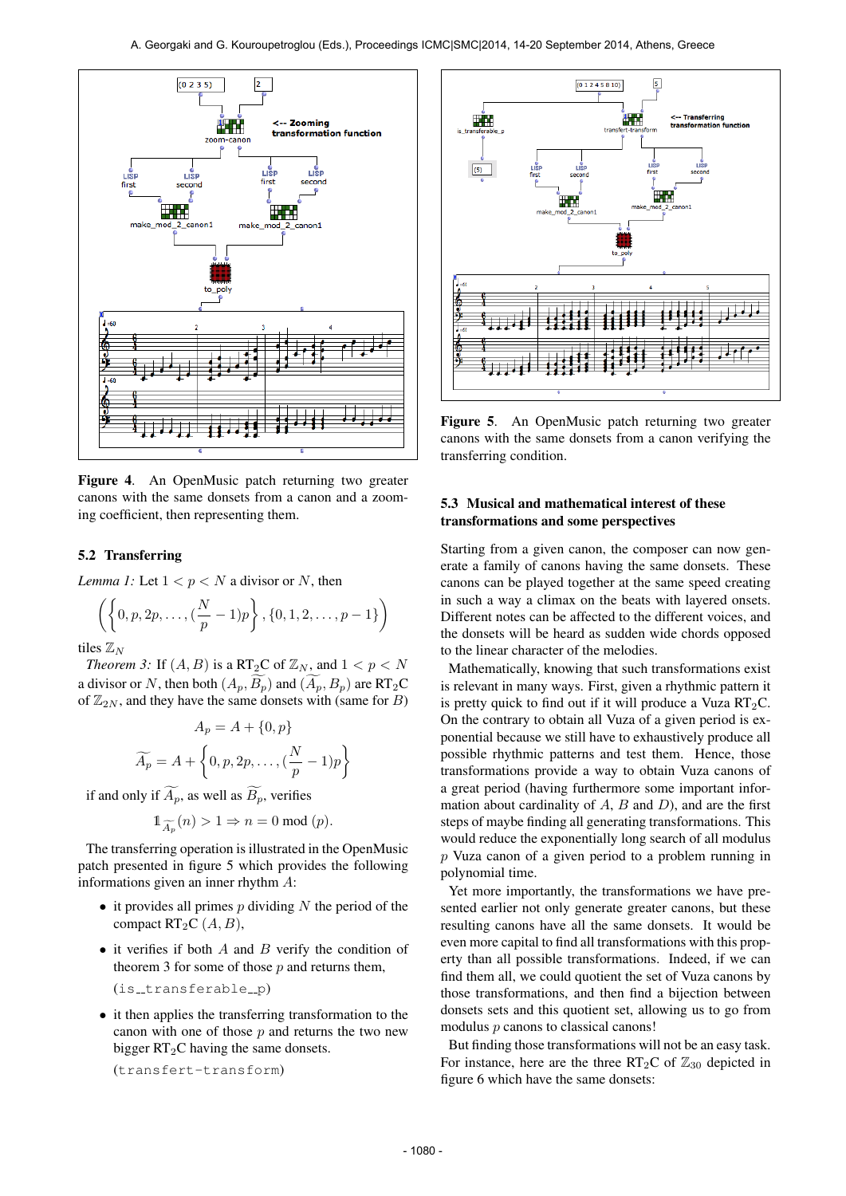

Figure 4. An OpenMusic patch returning two greater canons with the same donsets from a canon and a zooming coefficient, then representing them.

# 5.2 Transferring

*Lemma 1:* Let  $1 < p < N$  a divisor or N, then

$$
\left( \left\{ 0, p, 2p, \ldots, \left( \frac{N}{p} - 1 \right) p \right\}, \{0, 1, 2, \ldots, p - 1 \} \right)
$$

tiles  $\mathbb{Z}_N$ 

*Theorem 3:* If  $(A, B)$  is a RT<sub>2</sub>C of  $\mathbb{Z}_N$ , and  $1 < p < N$ a divisor or N, then both  $(A_p, \overline{B_p})$  and  $(\widetilde{A_p}, B_p)$  are RT<sub>2</sub>C of  $\mathbb{Z}_{2N}$ , and they have the same donsets with (same for B)

$$
A_p = A + \{0, p\}
$$

$$
\widetilde{A_p} = A + \left\{0, p, 2p, \dots, \left(\frac{N}{p} - 1\right)p\right\}
$$

if and only if  $A_p$ , as well as  $\widetilde{B_p}$ , verifies

$$
\mathbb{1}_{\widetilde{A_p}}(n) > 1 \Rightarrow n = 0\bmod (p).
$$

The transferring operation is illustrated in the OpenMusic patch presented in figure 5 which provides the following informations given an inner rhythm A:

- it provides all primes  $p$  dividing  $N$  the period of the compact  $RT_2C(A, B)$ ,
- it verifies if both  $A$  and  $B$  verify the condition of theorem 3 for some of those  $p$  and returns them,

$$
(is\_transferable\_p)
$$

• it then applies the transferring transformation to the canon with one of those  $p$  and returns the two new bigger  $RT_2C$  having the same donsets.

(transfert-transform)



Figure 5. An OpenMusic patch returning two greater canons with the same donsets from a canon verifying the transferring condition.

# 5.3 Musical and mathematical interest of these transformations and some perspectives

Starting from a given canon, the composer can now generate a family of canons having the same donsets. These canons can be played together at the same speed creating in such a way a climax on the beats with layered onsets. Different notes can be affected to the different voices, and the donsets will be heard as sudden wide chords opposed to the linear character of the melodies.

Mathematically, knowing that such transformations exist is relevant in many ways. First, given a rhythmic pattern it is pretty quick to find out if it will produce a Vuza  $RT_2C$ . On the contrary to obtain all Vuza of a given period is exponential because we still have to exhaustively produce all possible rhythmic patterns and test them. Hence, those transformations provide a way to obtain Vuza canons of a great period (having furthermore some important information about cardinality of  $A$ ,  $B$  and  $D$ ), and are the first steps of maybe finding all generating transformations. This would reduce the exponentially long search of all modulus p Vuza canon of a given period to a problem running in polynomial time.

Yet more importantly, the transformations we have presented earlier not only generate greater canons, but these resulting canons have all the same donsets. It would be even more capital to find all transformations with this property than all possible transformations. Indeed, if we can find them all, we could quotient the set of Vuza canons by those transformations, and then find a bijection between donsets sets and this quotient set, allowing us to go from modulus  $p$  canons to classical canons!

But finding those transformations will not be an easy task. For instance, here are the three  $RT_2C$  of  $\mathbb{Z}_{30}$  depicted in figure 6 which have the same donsets: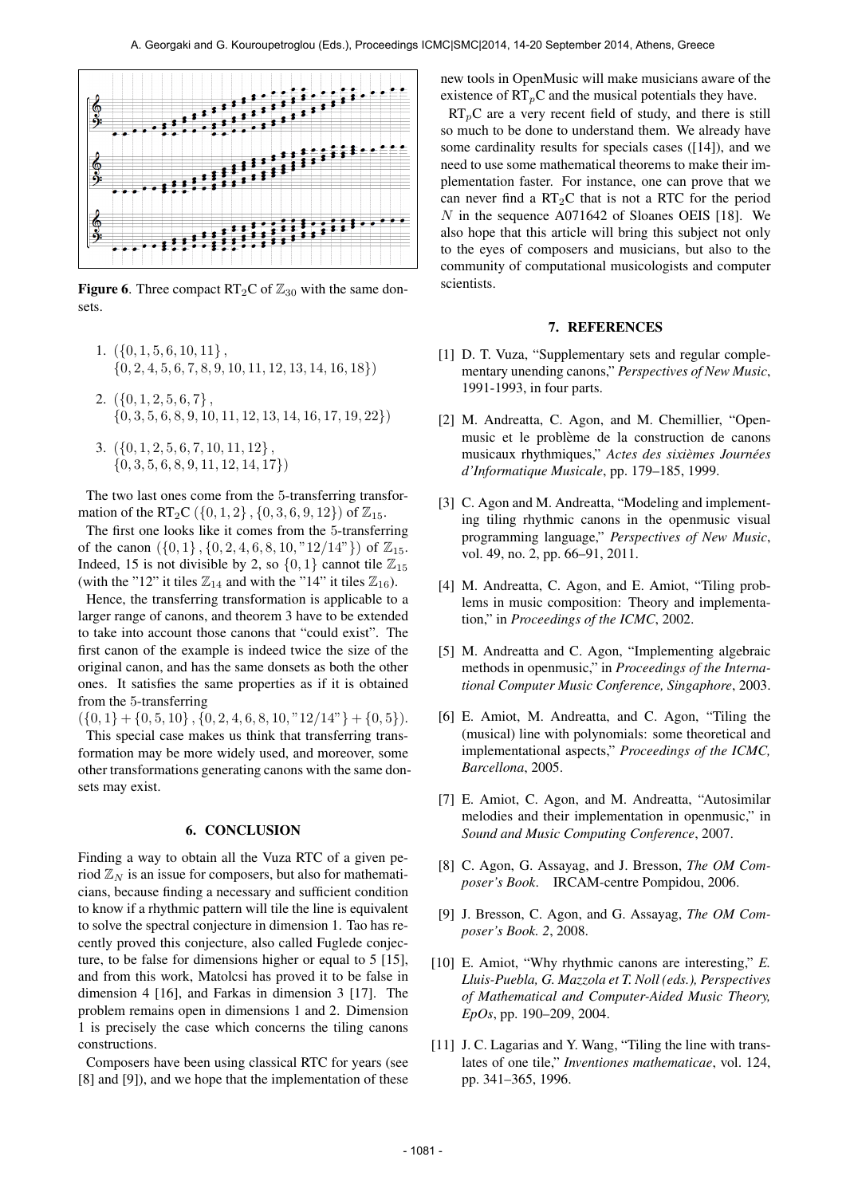

**Figure 6.** Three compact  $RT_2C$  of  $\mathbb{Z}_{30}$  with the same donsets.

- 1.  $({0, 1, 5, 6, 10, 11},$  $\{0, 2, 4, 5, 6, 7, 8, 9, 10, 11, 12, 13, 14, 16, 18\}$
- 2.  $({0, 1, 2, 5, 6, 7})$ .  $\{0, 3, 5, 6, 8, 9, 10, 11, 12, 13, 14, 16, 17, 19, 22\}$
- 3.  $({0, 1, 2, 5, 6, 7, 10, 11, 12},$  $\{0, 3, 5, 6, 8, 9, 11, 12, 14, 17\}$

The two last ones come from the 5-transferring transformation of the RT<sub>2</sub>C ({0, 1, 2}, {0, 3, 6, 9, 12}) of  $\mathbb{Z}_{15}$ .

The first one looks like it comes from the 5-transferring of the canon  $({0, 1}, {0, 2, 4, 6, 8, 10, "12/14"})$  of  $\mathbb{Z}_{15}$ . Indeed, 15 is not divisible by 2, so  $\{0, 1\}$  cannot tile  $\mathbb{Z}_{15}$ (with the "12" it tiles  $\mathbb{Z}_{14}$  and with the "14" it tiles  $\mathbb{Z}_{16}$ ).

Hence, the transferring transformation is applicable to a larger range of canons, and theorem 3 have to be extended to take into account those canons that "could exist". The first canon of the example is indeed twice the size of the original canon, and has the same donsets as both the other ones. It satisfies the same properties as if it is obtained from the 5-transferring

 $({0, 1} + {0, 5, 10}, {0, 2, 4, 6, 8, 10, "12/14" } + {0, 5}).$ This special case makes us think that transferring transformation may be more widely used, and moreover, some other transformations generating canons with the same donsets may exist.

## 6. CONCLUSION

Finding a way to obtain all the Vuza RTC of a given period  $\mathbb{Z}_N$  is an issue for composers, but also for mathematicians, because finding a necessary and sufficient condition to know if a rhythmic pattern will tile the line is equivalent to solve the spectral conjecture in dimension 1. Tao has recently proved this conjecture, also called Fuglede conjecture, to be false for dimensions higher or equal to 5 [15], and from this work, Matolcsi has proved it to be false in dimension 4 [16], and Farkas in dimension 3 [17]. The problem remains open in dimensions 1 and 2. Dimension 1 is precisely the case which concerns the tiling canons constructions.

Composers have been using classical RTC for years (see [8] and [9]), and we hope that the implementation of these

new tools in OpenMusic will make musicians aware of the existence of  $RT_pC$  and the musical potentials they have.

 $RT_pC$  are a very recent field of study, and there is still so much to be done to understand them. We already have some cardinality results for specials cases ([14]), and we need to use some mathematical theorems to make their implementation faster. For instance, one can prove that we can never find a  $RT_2C$  that is not a RTC for the period N in the sequence A071642 of Sloanes OEIS [18]. We also hope that this article will bring this subject not only to the eyes of composers and musicians, but also to the community of computational musicologists and computer scientists.

#### 7. REFERENCES

- [1] D. T. Vuza, "Supplementary sets and regular complementary unending canons," *Perspectives of New Music*, 1991-1993, in four parts.
- [2] M. Andreatta, C. Agon, and M. Chemillier, "Openmusic et le problème de la construction de canons musicaux rhythmiques," Actes des sixièmes Journées *d'Informatique Musicale*, pp. 179–185, 1999.
- [3] C. Agon and M. Andreatta, "Modeling and implementing tiling rhythmic canons in the openmusic visual programming language," *Perspectives of New Music*, vol. 49, no. 2, pp. 66–91, 2011.
- [4] M. Andreatta, C. Agon, and E. Amiot, "Tiling problems in music composition: Theory and implementation," in *Proceedings of the ICMC*, 2002.
- [5] M. Andreatta and C. Agon, "Implementing algebraic methods in openmusic," in *Proceedings of the International Computer Music Conference, Singaphore*, 2003.
- [6] E. Amiot, M. Andreatta, and C. Agon, "Tiling the (musical) line with polynomials: some theoretical and implementational aspects," *Proceedings of the ICMC, Barcellona*, 2005.
- [7] E. Amiot, C. Agon, and M. Andreatta, "Autosimilar melodies and their implementation in openmusic," in *Sound and Music Computing Conference*, 2007.
- [8] C. Agon, G. Assayag, and J. Bresson, *The OM Composer's Book*. IRCAM-centre Pompidou, 2006.
- [9] J. Bresson, C. Agon, and G. Assayag, *The OM Composer's Book. 2*, 2008.
- [10] E. Amiot, "Why rhythmic canons are interesting," *E. Lluis-Puebla, G. Mazzola et T. Noll (eds.), Perspectives of Mathematical and Computer-Aided Music Theory, EpOs*, pp. 190–209, 2004.
- [11] J. C. Lagarias and Y. Wang, "Tiling the line with translates of one tile," *Inventiones mathematicae*, vol. 124, pp. 341–365, 1996.